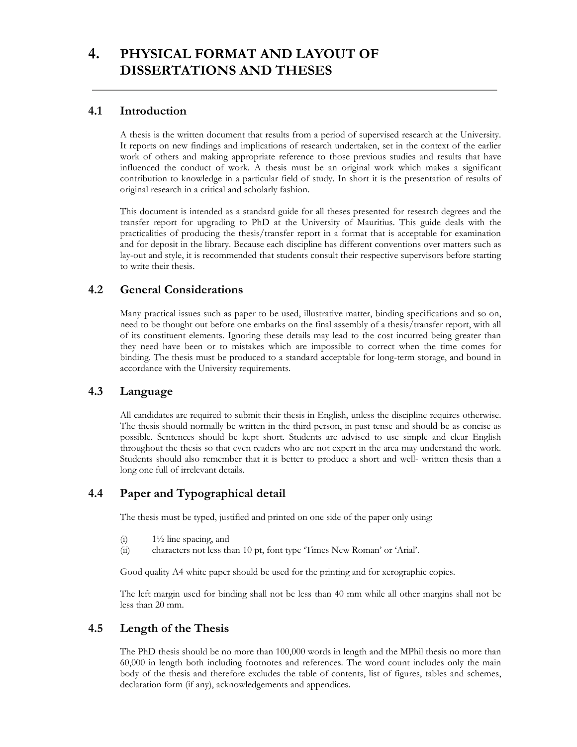# **4. PHYSICAL FORMAT AND LAYOUT OF DISSERTATIONS AND THESES**

## **4.1 Introduction**

A thesis is the written document that results from a period of supervised research at the University. It reports on new findings and implications of research undertaken, set in the context of the earlier work of others and making appropriate reference to those previous studies and results that have influenced the conduct of work. A thesis must be an original work which makes a significant contribution to knowledge in a particular field of study. In short it is the presentation of results of original research in a critical and scholarly fashion.

This document is intended as a standard guide for all theses presented for research degrees and the transfer report for upgrading to PhD at the University of Mauritius. This guide deals with the practicalities of producing the thesis/transfer report in a format that is acceptable for examination and for deposit in the library. Because each discipline has different conventions over matters such as lay-out and style, it is recommended that students consult their respective supervisors before starting to write their thesis.

## **4.2 General Considerations**

Many practical issues such as paper to be used, illustrative matter, binding specifications and so on, need to be thought out before one embarks on the final assembly of a thesis/transfer report, with all of its constituent elements. Ignoring these details may lead to the cost incurred being greater than they need have been or to mistakes which are impossible to correct when the time comes for binding. The thesis must be produced to a standard acceptable for long-term storage, and bound in accordance with the University requirements.

### **4.3 Language**

All candidates are required to submit their thesis in English, unless the discipline requires otherwise. The thesis should normally be written in the third person, in past tense and should be as concise as possible. Sentences should be kept short. Students are advised to use simple and clear English throughout the thesis so that even readers who are not expert in the area may understand the work. Students should also remember that it is better to produce a short and well- written thesis than a long one full of irrelevant details.

## **4.4 Paper and Typographical detail**

The thesis must be typed, justified and printed on one side of the paper only using:

- (i)  $1\frac{1}{2}$  line spacing, and
- (ii) characters not less than 10 pt, font type 'Times New Roman' or 'Arial'.

Good quality A4 white paper should be used for the printing and for xerographic copies.

The left margin used for binding shall not be less than 40 mm while all other margins shall not be less than 20 mm.

## **4.5 Length of the Thesis**

The PhD thesis should be no more than 100,000 words in length and the MPhil thesis no more than 60,000 in length both including footnotes and references. The word count includes only the main body of the thesis and therefore excludes the table of contents, list of figures, tables and schemes, declaration form (if any), acknowledgements and appendices.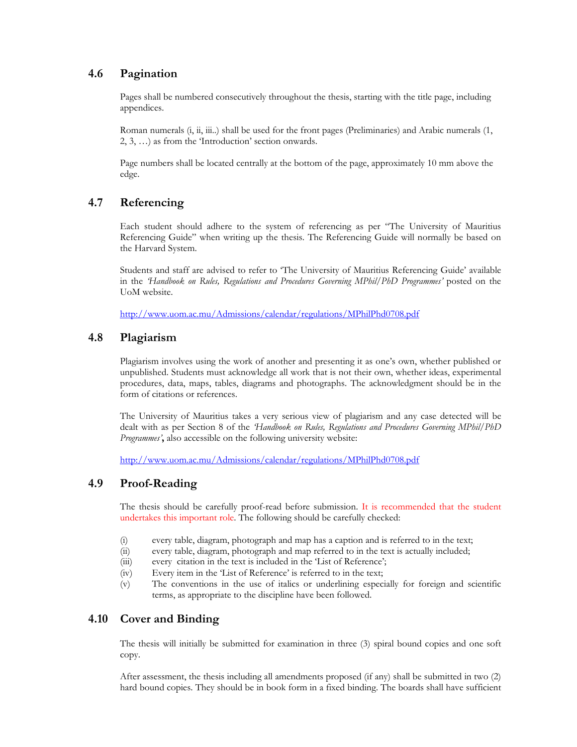### **4.6 Pagination**

 Pages shall be numbered consecutively throughout the thesis, starting with the title page, including appendices.

Roman numerals (i, ii, iii..) shall be used for the front pages (Preliminaries) and Arabic numerals (1, 2, 3, …) as from the 'Introduction' section onwards.

 Page numbers shall be located centrally at the bottom of the page, approximately 10 mm above the edge.

## **4.7 Referencing**

Each student should adhere to the system of referencing as per "The University of Mauritius Referencing Guide" when writing up the thesis. The Referencing Guide will normally be based on the Harvard System.

Students and staff are advised to refer to 'The University of Mauritius Referencing Guide' available in the *'Handbook on Rules, Regulations and Procedures Governing MPhil/PhD Programmes'* posted on the UoM website.

http://www.uom.ac.mu/Admissions/calendar/regulations/MPhilPhd0708.pdf

### **4.8 Plagiarism**

Plagiarism involves using the work of another and presenting it as one's own, whether published or unpublished. Students must acknowledge all work that is not their own, whether ideas, experimental procedures, data, maps, tables, diagrams and photographs. The acknowledgment should be in the form of citations or references.

The University of Mauritius takes a very serious view of plagiarism and any case detected will be dealt with as per Section 8 of the *'Handbook on Rules, Regulations and Procedures Governing MPhil/PhD Programmes'***,** also accessible on the following university website:

http://www.uom.ac.mu/Admissions/calendar/regulations/MPhilPhd0708.pdf

### **4.9 Proof-Reading**

The thesis should be carefully proof-read before submission. It is recommended that the student undertakes this important role. The following should be carefully checked:

- (i) every table, diagram, photograph and map has a caption and is referred to in the text;
- (ii) every table, diagram, photograph and map referred to in the text is actually included;
- (iii) every citation in the text is included in the 'List of Reference';
- (iv) Every item in the 'List of Reference' is referred to in the text;
- (v) The conventions in the use of italics or underlining especially for foreign and scientific terms, as appropriate to the discipline have been followed.

### **4.10 Cover and Binding**

The thesis will initially be submitted for examination in three (3) spiral bound copies and one soft copy.

After assessment, the thesis including all amendments proposed (if any) shall be submitted in two (2) hard bound copies. They should be in book form in a fixed binding. The boards shall have sufficient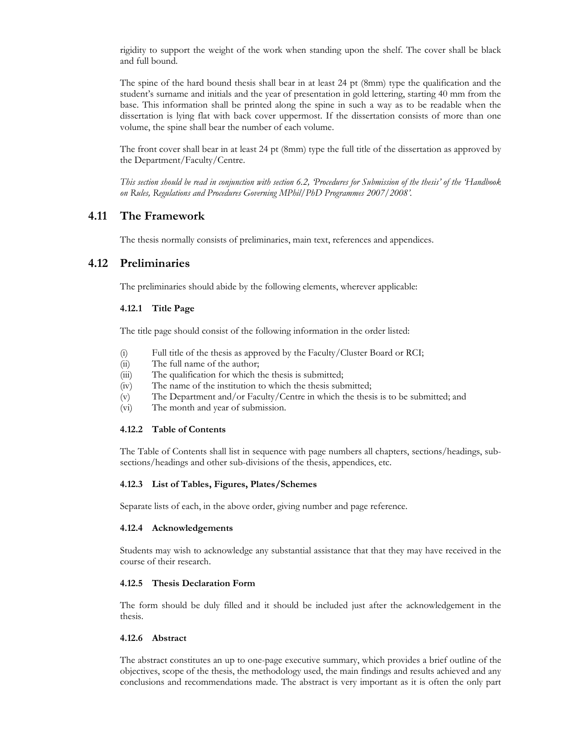rigidity to support the weight of the work when standing upon the shelf. The cover shall be black and full bound.

The spine of the hard bound thesis shall bear in at least 24 pt (8mm) type the qualification and the student's surname and initials and the year of presentation in gold lettering, starting 40 mm from the base. This information shall be printed along the spine in such a way as to be readable when the dissertation is lying flat with back cover uppermost. If the dissertation consists of more than one volume, the spine shall bear the number of each volume.

The front cover shall bear in at least 24 pt (8mm) type the full title of the dissertation as approved by the Department/Faculty/Centre.

*This section should be read in conjunction with section 6.2, 'Procedures for Submission of the thesis' of the 'Handbook on Rules, Regulations and Procedures Governing MPhil/PhD Programmes 2007/2008'.* 

### **4.11 The Framework**

The thesis normally consists of preliminaries, main text, references and appendices.

### **4.12 Preliminaries**

The preliminaries should abide by the following elements, wherever applicable:

### **4.12.1 Title Page**

The title page should consist of the following information in the order listed:

- (i) Full title of the thesis as approved by the Faculty/Cluster Board or RCI;
- (ii) The full name of the author;
- (iii) The qualification for which the thesis is submitted;
- (iv) The name of the institution to which the thesis submitted;
- (v) The Department and/or Faculty/Centre in which the thesis is to be submitted; and
- (vi) The month and year of submission.

#### **4.12.2 Table of Contents**

The Table of Contents shall list in sequence with page numbers all chapters, sections/headings, subsections/headings and other sub-divisions of the thesis, appendices, etc.

#### **4.12.3 List of Tables, Figures, Plates/Schemes**

Separate lists of each, in the above order, giving number and page reference.

#### **4.12.4 Acknowledgements**

Students may wish to acknowledge any substantial assistance that that they may have received in the course of their research.

#### **4.12.5 Thesis Declaration Form**

The form should be duly filled and it should be included just after the acknowledgement in the thesis.

#### **4.12.6 Abstract**

The abstract constitutes an up to one-page executive summary, which provides a brief outline of the objectives, scope of the thesis, the methodology used, the main findings and results achieved and any conclusions and recommendations made. The abstract is very important as it is often the only part